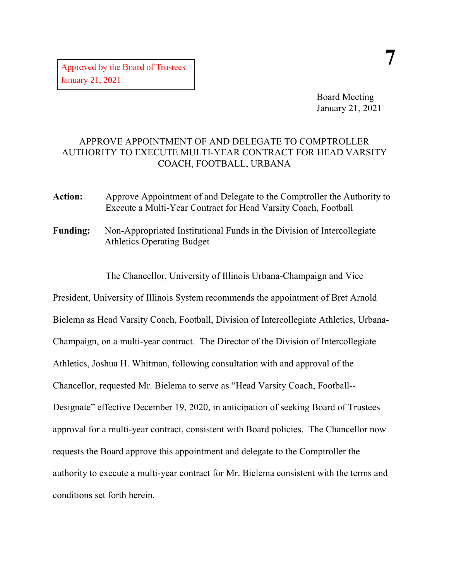Board Meeting January 21, 2021

## APPROVE APPOINTMENT OF AND DELEGATE TO COMPTROLLER AUTHORITY TO EXECUTE MULTI-YEAR CONTRACT FOR HEAD VARSITY COACH, FOOTBALL, URBANA

- **Action:** Approve Appointment of and Delegate to the Comptroller the Authority to Execute a Multi-Year Contract for Head Varsity Coach, Football
- **Funding:** Non-Appropriated Institutional Funds in the Division of Intercollegiate Athletics Operating Budget

The Chancellor, University of Illinois Urbana-Champaign and Vice

President, University of Illinois System recommends the appointment of Bret Arnold Bielema as Head Varsity Coach, Football, Division of Intercollegiate Athletics, Urbana-Champaign, on a multi-year contract. The Director of the Division of Intercollegiate Athletics, Joshua H. Whitman, following consultation with and approval of the Chancellor, requested Mr. Bielema to serve as "Head Varsity Coach, Football-- Designate" effective December 19, 2020, in anticipation of seeking Board of Trustees approval for a multi-year contract, consistent with Board policies. The Chancellor now requests the Board approve this appointment and delegate to the Comptroller the authority to execute a multi-year contract for Mr. Bielema consistent with the terms and conditions set forth herein.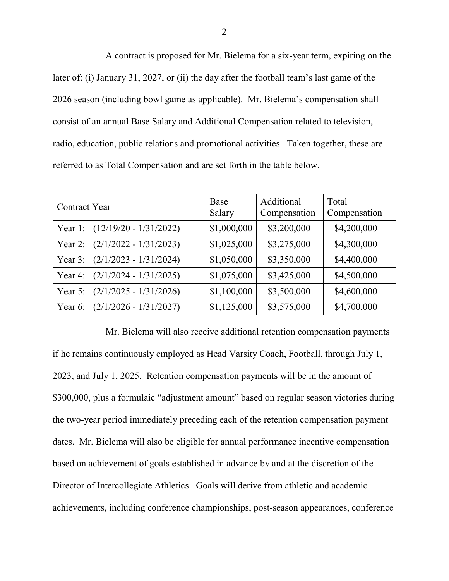A contract is proposed for Mr. Bielema for a six-year term, expiring on the later of: (i) January 31, 2027, or (ii) the day after the football team's last game of the 2026 season (including bowl game as applicable). Mr. Bielema's compensation shall consist of an annual Base Salary and Additional Compensation related to television, radio, education, public relations and promotional activities. Taken together, these are referred to as Total Compensation and are set forth in the table below.

| <b>Contract Year</b>                   | Base<br>Salary | Additional<br>Compensation | Total<br>Compensation |
|----------------------------------------|----------------|----------------------------|-----------------------|
| Year 1: $(12/19/20 - 1/31/2022)$       | \$1,000,000    | \$3,200,000                | \$4,200,000           |
| $(2/1/2022 - 1/31/2023)$<br>Year $2$ : | \$1,025,000    | \$3,275,000                | \$4,300,000           |
| $(2/1/2023 - 1/31/2024)$<br>Year $3$ : | \$1,050,000    | \$3,350,000                | \$4,400,000           |
| $(2/1/2024 - 1/31/2025)$<br>Year 4:    | \$1,075,000    | \$3,425,000                | \$4,500,000           |
| $(2/1/2025 - 1/31/2026)$<br>Year $5$ : | \$1,100,000    | \$3,500,000                | \$4,600,000           |
| $(2/1/2026 - 1/31/2027)$<br>Year 6:    | \$1,125,000    | \$3,575,000                | \$4,700,000           |

Mr. Bielema will also receive additional retention compensation payments if he remains continuously employed as Head Varsity Coach, Football, through July 1, 2023, and July 1, 2025. Retention compensation payments will be in the amount of \$300,000, plus a formulaic "adjustment amount" based on regular season victories during the two-year period immediately preceding each of the retention compensation payment dates. Mr. Bielema will also be eligible for annual performance incentive compensation based on achievement of goals established in advance by and at the discretion of the Director of Intercollegiate Athletics. Goals will derive from athletic and academic achievements, including conference championships, post-season appearances, conference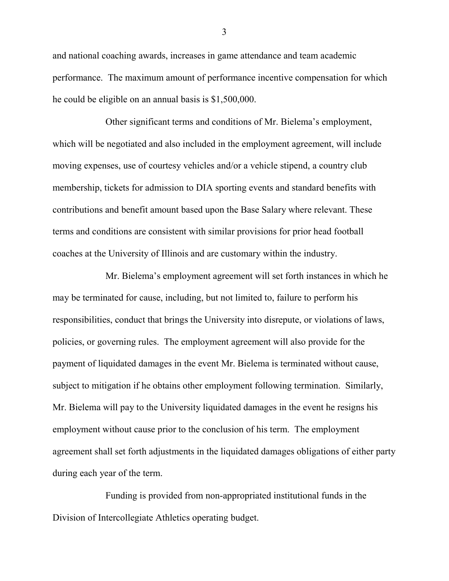and national coaching awards, increases in game attendance and team academic performance. The maximum amount of performance incentive compensation for which he could be eligible on an annual basis is \$1,500,000.

Other significant terms and conditions of Mr. Bielema's employment, which will be negotiated and also included in the employment agreement, will include moving expenses, use of courtesy vehicles and/or a vehicle stipend, a country club membership, tickets for admission to DIA sporting events and standard benefits with contributions and benefit amount based upon the Base Salary where relevant. These terms and conditions are consistent with similar provisions for prior head football coaches at the University of Illinois and are customary within the industry.

Mr. Bielema's employment agreement will set forth instances in which he may be terminated for cause, including, but not limited to, failure to perform his responsibilities, conduct that brings the University into disrepute, or violations of laws, policies, or governing rules. The employment agreement will also provide for the payment of liquidated damages in the event Mr. Bielema is terminated without cause, subject to mitigation if he obtains other employment following termination. Similarly, Mr. Bielema will pay to the University liquidated damages in the event he resigns his employment without cause prior to the conclusion of his term. The employment agreement shall set forth adjustments in the liquidated damages obligations of either party during each year of the term.

Funding is provided from non-appropriated institutional funds in the Division of Intercollegiate Athletics operating budget.

3